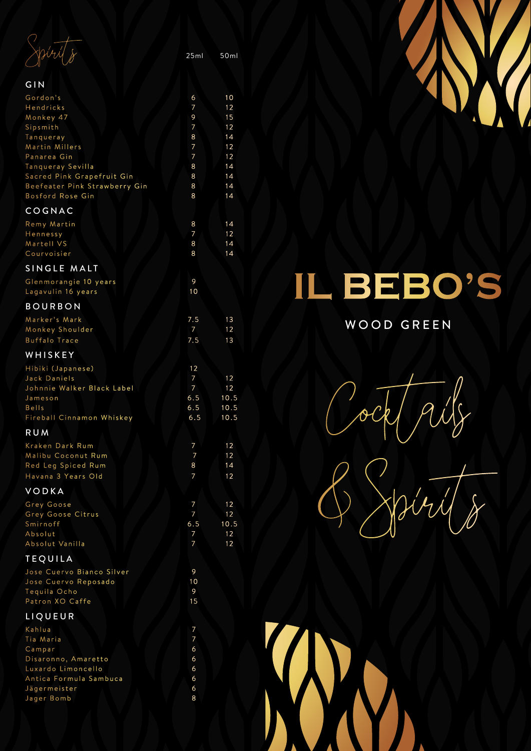$\frac{1}{\sqrt{25m}}$  50ml

| GIN                                               |            |              |
|---------------------------------------------------|------------|--------------|
| Gordon's                                          | 6          | 10           |
| Hendricks<br>Monkey 47                            | 7<br>9     | 12<br>15     |
| Sipsmith                                          | 7          | 12           |
| Tanqueray                                         | 8          | 14           |
| Martin Millers<br>Panarea Gin                     | 7<br>7     | 12<br>12     |
| Tanqueray Sevilla                                 | 8          | 14           |
| Sacred Pink Grapefruit Gin                        | 8          | 14           |
| Beefeater Pink Strawberry Gin<br>Bosford Rose Gin | 8<br>8     | 14<br>14     |
|                                                   |            |              |
| COGNAC                                            |            |              |
| Remy Martin<br>Hennessy                           | 8<br>7     | 14<br>12     |
| Martell VS                                        | 8          | 14           |
| Courvoisier                                       | 8          | 14           |
| SINGLE MALT                                       |            |              |
| Glenmorangie 10 years                             | 9          |              |
| Lagavulin 16 years                                | 10         |              |
| <b>BOURBON</b>                                    |            |              |
| Marker's Mark                                     | 7.5        | 13           |
| Monkey Shoulder<br><b>Buffalo Trace</b>           | 7<br>7.5   | 12<br>13     |
|                                                   |            |              |
| WHISKEY                                           |            |              |
| Hibiki (Japanese)<br>Jack Daniels                 | 12<br>7    | 12           |
| Johnnie Walker Black Label                        | 7          | 12           |
| Jameson                                           | 6.5        | 10.5         |
| <b>Bells</b><br>Fireball Cinnamon Whiskey         | 6.5<br>6.5 | 10.5<br>10.5 |
| <b>RUM</b>                                        |            |              |
| Kraken Dark Rum                                   | 7          |              |
| Malibu Coconut Rum                                | 7          | 12<br>12     |
| Red Leg Spiced Rum                                | 8          | 14           |
| Havana 3 Years Old                                | 7          | 12           |
| VODKA                                             |            |              |
| Grey Goose                                        | 7          | 12           |
| Grey Goose Citrus<br>Smirnoff                     | 7          | 12           |
| Absolut                                           | 6.5<br>7   | 10.5<br>12   |
| Absolut Vanilla                                   | 7          | 12           |
| <b>TEQUILA</b>                                    |            |              |
| Jose Cuervo Bianco Silver                         | 9          |              |
| Jose Cuervo Reposado                              | 10         |              |
| Tequila Ocho<br>Patron XO Caffe                   | 9<br>15    |              |
|                                                   |            |              |
| LIQUEUR                                           |            |              |
| Kahlua<br>Tia Maria                               | 7<br>7     |              |
| Campar                                            | 6          |              |
| Disaronno, Amaretto                               | 6          |              |
| Luxardo Limoncello<br>Antica Formula Sambuca      | 6<br>6     |              |
| Jägermeister                                      | 6          |              |
| Jager Bomb                                        | 8          |              |



## EBO'S B

## WOOD GREEN